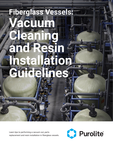# **Fiberglass Vessels:**   $\mathbf{C}_n$ **Cleaning and Resin Installation Guidelines**

Learn tips to performing a vacuum out, parts replacement and resin installation in fiberglass vessels.

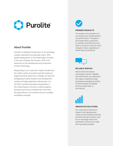

## About Purolite

Purolite is a leading manufacturer of ion exchange, catalyst, adsorbent and specialty resins. With global headquarters in the United States, Purolite is the only company that focuses 100% of its resources on the development and production of resin technology.

Responding to our customers' needs, Purolite has the widest variety of products and the industry's largest technical sales force. Globally, we have five strategically located research and development centers and eight application laboratories. Our ISO 9001 certified manufacturing facilities in the United States of America, United Kingdom, Romania and China combined with more than 40 sales offices in 30 countries ensure complete worldwide coverage.



## **PREMIER PRODUCTS**

The quality and consistency of our products are fundamental to our performance. Throughout all Purolite plants, production is carefully controlled to ensure that our products meet the most stringent criteria, regardless of where they are produced.



## **RELIABLE SERVICE**

We are technical experts and problem solvers. Reliable and well-trained, we understand the urgency required to keep businesses operating smoothly. Purolite employs the largest technical sales team in the industry.

## **INNOVATIVE SOLUTIONS**

Our continued investment in research and development means we are always perfecting and discovering innovative uses for ion exchange resins and adsorbents. We strive to make the impossible possible.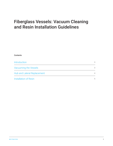# Fiberglass Vessels: Vacuum Cleaning and Resin Installation Guidelines

| <b>Contents</b>              |                |
|------------------------------|----------------|
| Introduction                 | 3              |
| Vacuuming the Vessels        | 3              |
| Hub and Lateral Replacement  | $\overline{4}$ |
| <b>Installation of Resin</b> | 5              |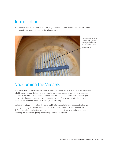# <span id="page-3-0"></span>Introduction

The Purolite team was tasked with performing a vacuum out, and installation of FerrIX™ A33E polystyrenic macroporous resins in fiberglass vessels.



Pictured is the original hub and lateral system located at the bottom of the fiberglass tank.

Broken lateral

# Vacuuming the Vessels

In this example, the system treated arsenic for drinking water with Ferrix A33E resin. Removing all of the resin is essential during a resin exchange so that no spent resin contaminates the effluent of the new resin. A standard vacuum nozzle is three inches (7.6 cm). In order to get between the laterals to remove all of the spent resin out of the vessel, an attachment was constructed to reduce the nozzle size to 3/4 inch (1.9 cm).

Collection systems which sit on the bottom of the tank are challenging because the laterals are fragile. During extraction of resin in this case, one lateral was broken as shown in Figure 1. Subsequently, the collection system needed to be replaced to prevent resin beads from escaping the vessel and getting into the city's distribution system.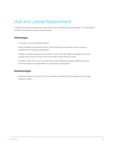# <span id="page-4-0"></span>Hub and Lateral Replacement

A replacement hub and lateral was constructed from Schedule 80 pipe and fittings. The new laterals had 300-micron laser cut slots along its length.

# Advantages

- A stronger, more robust lateral system.
- Improved ability to access the bottom of the vessel with a standard vacuum nozzle as compared to the original configuration.
- Creation of additional space on the bottom of the vessel was taken advantage of to install a small sump pump to pump out the wash water and the last bit of resin.
- Provided a "safe" zone to aim the slurry hose while refilling the vessel instead of being as concerned about the fragile laterals in the previous configuration.

# Disadvantages

• Useful bed depth is lost, but the loss is minimal compared to the advantages of a stronger collection system.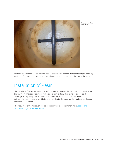<span id="page-5-0"></span>

Replacement hub and lateral.

Stainless steel laterals can be installed instead of the plastic ones for increased strength; however, the issue of complete removal remains if the laterals extend across the full bottom of the vessel.

# Installation of Resin

The vessel was filled with a water "cushion" to a level above the collector system prior to installing the new resin. The resin was mixed with water to form a slurry, then using an air operated diaphragm (AOD) pump, the resin was pumped into the treatment vessel. The open spaces between the crossed laterals provided a safe place to aim the incoming flow and prevent damage to the collection system.

The installation of resin is covered in detail on our website. To learn more, visit Loading and [Commissioning Ion Exchange Resins](https://www.purolite.com/dam/jcr:be9008ca-ef6c-4561-9e3a-26e24f7aaf94/34_Loading_and_Commissioning_AC_OUTLINES.pdf).